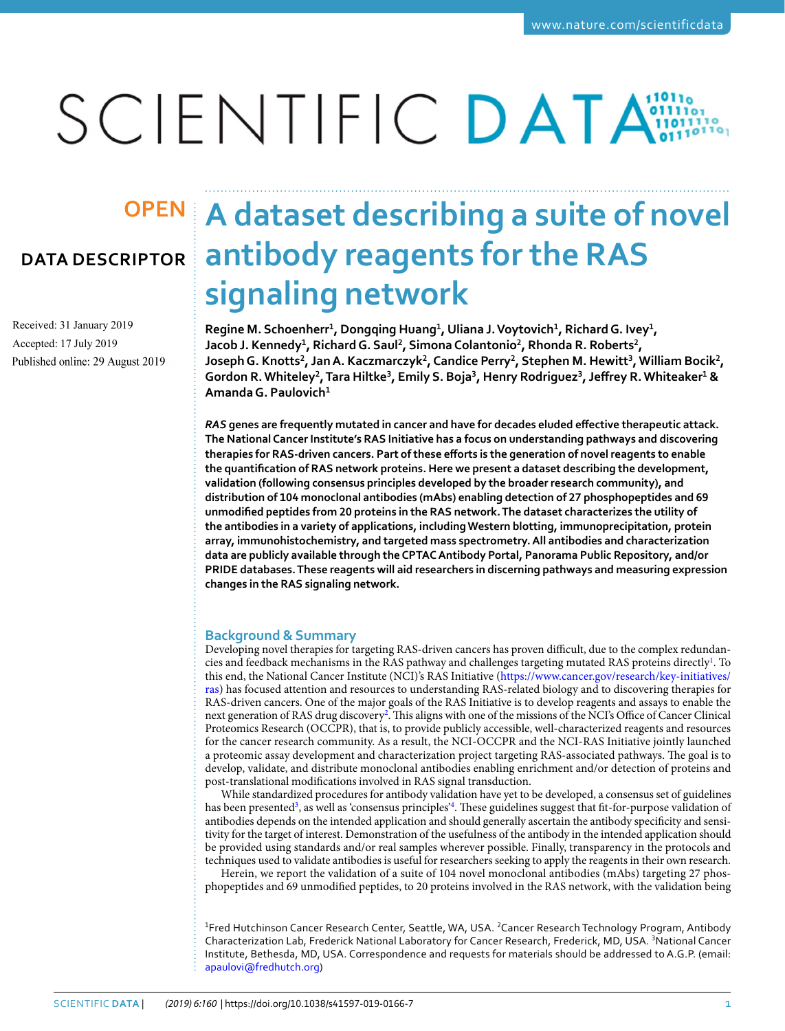# SCIENTIFIC DATA

### **Data Descriptor**

Received: 31 January 2019 Accepted: 17 July 2019 Published online: 29 August 2019

## **A dataset describing a suite of novel OPENantibody reagents for the RAS signaling network**

**Regine M. Schoenherr<sup>1</sup>, Dongqing Huang<sup>1</sup>, Uliana J.Voytovich<sup>1</sup>, RichardG. Ivey<sup>1</sup>, Jacob J. Kennedy<sup>1</sup>, RichardG. Saul<sup>2</sup>, SimonaColantonio<sup>2</sup>, Rhonda R. Roberts<sup>2</sup>, JosephG. Knotts<sup>2</sup>, Jan A. Kaczmarczyk<sup>2</sup>, Candice Perry<sup>2</sup>, Stephen M. Hewitt<sup>3</sup>, William Bocik<sup>2</sup>, Gordon R.Whiteley<sup>2</sup>, Tara Hiltke<sup>3</sup>, Emily S. Boja<sup>3</sup>, Henry Rodriguez3, Jefrey R.Whiteaker1 & AmandaG. Paulovich<sup>1</sup>**

*RAS* **genes are frequently mutated in cancer and have for decades eluded efective therapeutic attack. The National Cancer Institute's RAS Initiative has a focus on understanding pathways and discovering therapies for RAS-driven cancers. Part of these eforts is the generation of novel reagents to enable the quantifcation of RAS network proteins. Here we present a dataset describing the development, validation (following consensus principles developed by the broader research community), and distribution of 104 monoclonal antibodies (mAbs) enabling detection of 27 phosphopeptides and 69 unmodifed peptides from 20 proteins in the RAS network. The dataset characterizes the utility of the antibodies in a variety of applications, including Western blotting, immunoprecipitation, protein array, immunohistochemistry, and targeted mass spectrometry. All antibodies and characterization data are publicly available through the CPTAC Antibody Portal, Panorama Public Repository, and/or PRIDE databases. These reagents will aid researchers in discerning pathways and measuring expression changes in the RAS signaling network.**

#### **Background & Summary**

Developing novel therapies for targeting RAS-driven cancers has proven difficult, due to the complex redundan-cies and feedback mechanisms in the RAS pathway and challenges targeting mutated RAS proteins directly<sup>[1](#page-9-0)</sup>. To this end, the National Cancer Institute (NCI)'s RAS Initiative ([https://www.cancer.gov/research/key-initiatives/](https://www.cancer.gov/research/key-initiatives/ras) [ras](https://www.cancer.gov/research/key-initiatives/ras)) has focused attention and resources to understanding RAS-related biology and to discovering therapies for RAS-driven cancers. One of the major goals of the RAS Initiative is to develop reagents and assays to enable the next generation of RAS drug discovery<sup>[2](#page-9-1)</sup>. This aligns with one of the missions of the NCI's Office of Cancer Clinical Proteomics Research (OCCPR), that is, to provide publicly accessible, well-characterized reagents and resources for the cancer research community. As a result, the NCI-OCCPR and the NCI-RAS Initiative jointly launched a proteomic assay development and characterization project targeting RAS-associated pathways. The goal is to develop, validate, and distribute monoclonal antibodies enabling enrichment and/or detection of proteins and post-translational modifcations involved in RAS signal transduction.

While standardized procedures for antibody validation have yet to be developed, a consensus set of guidelines has been presented<sup>[3](#page-9-2)</sup>, as well as 'consensus principles<sup>2[4](#page-9-3)</sup>. These guidelines suggest that fit-for-purpose validation of antibodies depends on the intended application and should generally ascertain the antibody specifcity and sensitivity for the target of interest. Demonstration of the usefulness of the antibody in the intended application should be provided using standards and/or real samples wherever possible. Finally, transparency in the protocols and techniques used to validate antibodies is useful for researchers seeking to apply the reagents in their own research.

Herein, we report the validation of a suite of 104 novel monoclonal antibodies (mAbs) targeting 27 phosphopeptides and 69 unmodifed peptides, to 20 proteins involved in the RAS network, with the validation being

<sup>1</sup>Fred Hutchinson Cancer Research Center, Seattle, WA, USA. <sup>2</sup>Cancer Research Technology Program, Antibody Characterization Lab, Frederick National Laboratory for Cancer Research, Frederick, MD, USA. <sup>3</sup>National Cancer Institute, Bethesda, MD, USA. Correspondence and requests for materials should be addressed to A.G.P. (email: [apaulovi@fredhutch.org](mailto:apaulovi@fredhutch.org))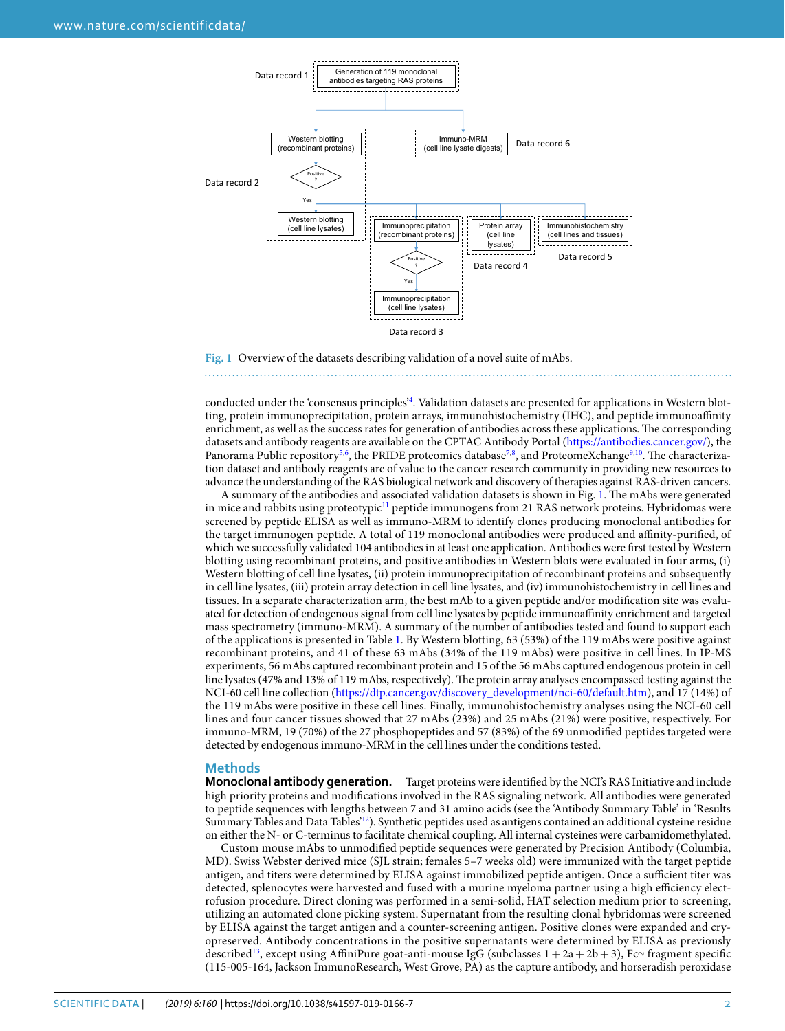

<span id="page-1-0"></span>**Fig. 1** Overview of the datasets describing validation of a novel suite of mAbs.

conducted under the 'consensus principles['4](#page-9-3) . Validation datasets are presented for applications in Western blotting, protein immunoprecipitation, protein arrays, immunohistochemistry (IHC), and peptide immunoaffinity enrichment, as well as the success rates for generation of antibodies across these applications. The corresponding datasets and antibody reagents are available on the CPTAC Antibody Portal (<https://antibodies.cancer.gov/>), the Panorama Public repository<sup>5,[6](#page-9-5)</sup>, the PRIDE proteomics database<sup>[7](#page-9-6)[,8](#page-9-7)</sup>, and ProteomeXchange<sup>[9](#page-9-8),[10](#page-9-9)</sup>. The characterization dataset and antibody reagents are of value to the cancer research community in providing new resources to advance the understanding of the RAS biological network and discovery of therapies against RAS-driven cancers.

A summary of the antibodies and associated validation datasets is shown in Fig. [1](#page-1-0). The mAbs were generated in mice and rabbits using proteotypic<sup>[11](#page-9-10)</sup> peptide immunogens from 21 RAS network proteins. Hybridomas were screened by peptide ELISA as well as immuno-MRM to identify clones producing monoclonal antibodies for the target immunogen peptide. A total of 119 monoclonal antibodies were produced and afnity-purifed, of which we successfully validated 104 antibodies in at least one application. Antibodies were frst tested by Western blotting using recombinant proteins, and positive antibodies in Western blots were evaluated in four arms, (i) Western blotting of cell line lysates, (ii) protein immunoprecipitation of recombinant proteins and subsequently in cell line lysates, (iii) protein array detection in cell line lysates, and (iv) immunohistochemistry in cell lines and tissues. In a separate characterization arm, the best mAb to a given peptide and/or modifcation site was evaluated for detection of endogenous signal from cell line lysates by peptide immunoafnity enrichment and targeted mass spectrometry (immuno-MRM). A summary of the number of antibodies tested and found to support each of the applications is presented in Table [1](#page-2-0). By Western blotting, 63 (53%) of the 119 mAbs were positive against recombinant proteins, and 41 of these 63 mAbs (34% of the 119 mAbs) were positive in cell lines. In IP-MS experiments, 56 mAbs captured recombinant protein and 15 of the 56 mAbs captured endogenous protein in cell line lysates (47% and 13% of 119 mAbs, respectively). The protein array analyses encompassed testing against the NCI-60 cell line collection ([https://dtp.cancer.gov/discovery\\_development/nci-60/default.htm](https://dtp.cancer.gov/discovery_development/nci-60/default.htm)), and 17 (14%) of the 119 mAbs were positive in these cell lines. Finally, immunohistochemistry analyses using the NCI-60 cell lines and four cancer tissues showed that 27 mAbs (23%) and 25 mAbs (21%) were positive, respectively. For immuno-MRM, 19 (70%) of the 27 phosphopeptides and 57 (83%) of the 69 unmodifed peptides targeted were detected by endogenous immuno-MRM in the cell lines under the conditions tested.

#### **Methods**

**Monoclonal antibody generation.** Target proteins were identifed by the NCI's RAS Initiative and include high priority proteins and modifcations involved in the RAS signaling network. All antibodies were generated to peptide sequences with lengths between 7 and 31 amino acids (see the 'Antibody Summary Table' in 'Results Summary Tables and Data Tables'[12](#page-9-11)). Synthetic peptides used as antigens contained an additional cysteine residue on either the N- or C-terminus to facilitate chemical coupling. All internal cysteines were carbamidomethylated.

Custom mouse mAbs to unmodifed peptide sequences were generated by Precision Antibody (Columbia, MD). Swiss Webster derived mice (SJL strain; females 5–7 weeks old) were immunized with the target peptide antigen, and titers were determined by ELISA against immobilized peptide antigen. Once a sufficient titer was detected, splenocytes were harvested and fused with a murine myeloma partner using a high efficiency electrofusion procedure. Direct cloning was performed in a semi-solid, HAT selection medium prior to screening, utilizing an automated clone picking system. Supernatant from the resulting clonal hybridomas were screened by ELISA against the target antigen and a counter-screening antigen. Positive clones were expanded and cryopreserved. Antibody concentrations in the positive supernatants were determined by ELISA as previously described<sup>13</sup>, except using AffiniPure goat-anti-mouse IgG (subclasses  $1+2a+2b+3$ ), Fc $\gamma$  fragment specific (115-005-164, Jackson ImmunoResearch, West Grove, PA) as the capture antibody, and horseradish peroxidase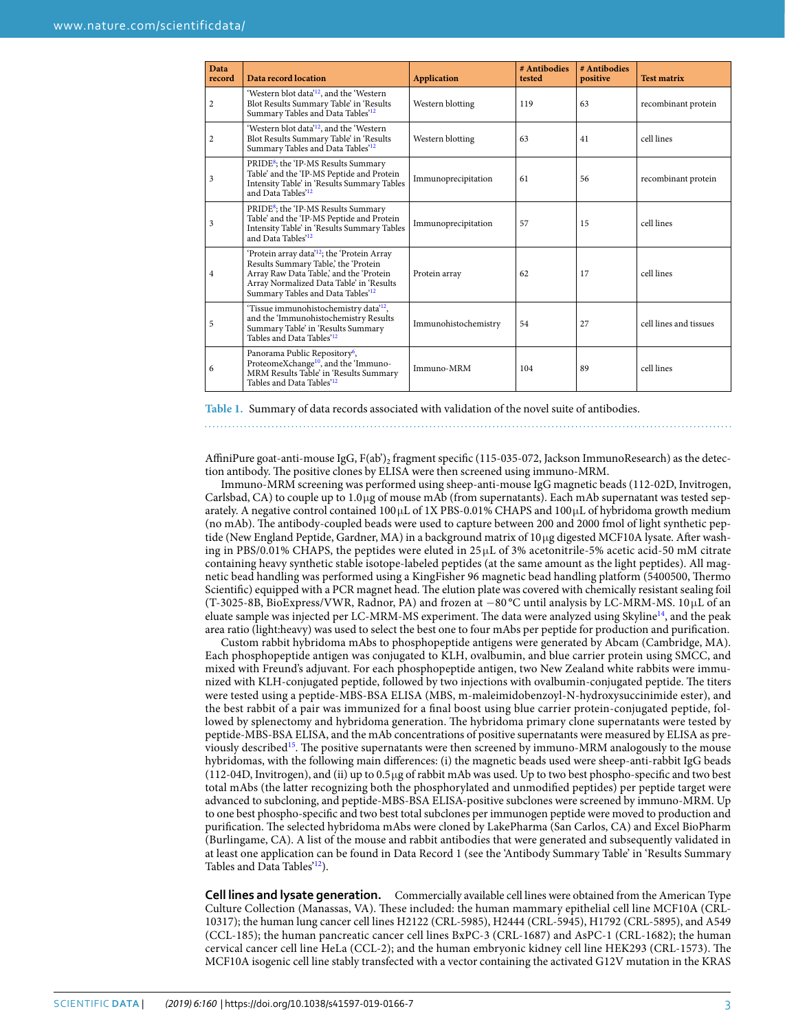<span id="page-2-0"></span>

| Data<br>record | Data record location                                                                                                                                                                                                                    | <b>Application</b>   | # Antibodies<br>tested | # Antibodies<br>positive | <b>Test matrix</b>     |
|----------------|-----------------------------------------------------------------------------------------------------------------------------------------------------------------------------------------------------------------------------------------|----------------------|------------------------|--------------------------|------------------------|
| 2              | 'Western blot data' <sup>12</sup> , and the 'Western'<br>Blot Results Summary Table' in 'Results<br>Summary Tables and Data Tables' <sup>12</sup>                                                                                       | Western blotting     | 119                    | 63                       | recombinant protein    |
| 2              | 'Western blot data' <sup>12</sup> , and the 'Western'<br>Blot Results Summary Table' in 'Results<br>Summary Tables and Data Tables' <sup>12</sup>                                                                                       | Western blotting     | 63                     | 41                       | cell lines             |
| 3              | PRIDE <sup>8</sup> ; the 'IP-MS Results Summary<br>Table' and the 'IP-MS Peptide and Protein<br>Intensity Table' in 'Results Summary Tables<br>and Data Tables <sup>212</sup>                                                           | Immunoprecipitation  | 61                     | 56                       | recombinant protein    |
| 3              | PRIDE <sup>8</sup> ; the 'IP-MS Results Summary<br>Table' and the 'IP-MS Peptide and Protein<br>Intensity Table' in 'Results Summary Tables<br>and Data Tables <sup>12</sup>                                                            | Immunoprecipitation  | 57                     | 15                       | cell lines             |
| 4              | 'Protein array data' <sup>12</sup> ; the 'Protein Array<br>Results Summary Table,' the 'Protein<br>Array Raw Data Table,' and the 'Protein<br>Array Normalized Data Table' in 'Results<br>Summary Tables and Data Tables' <sup>12</sup> | Protein array        | 62                     | 17                       | cell lines             |
| 5              | 'Tissue immunohistochemistry data' <sup>12</sup> ,<br>and the 'Immunohistochemistry Results<br>Summary Table' in 'Results Summary<br>Tables and Data Tables' <sup>12</sup>                                                              | Immunohistochemistry | 54                     | 27                       | cell lines and tissues |
| 6              | Panorama Public Repository <sup>6</sup> ,<br>ProteomeXchange <sup>10</sup> , and the 'Immuno-<br>MRM Results Table' in 'Results Summary<br>Tables and Data Tables' <sup>12</sup>                                                        | Immuno-MRM           | 104                    | 89                       | cell lines             |

**Table 1.** Summary of data records associated with validation of the novel suite of antibodies.

AffiniPure goat-anti-mouse IgG,  $F(ab')$  fragment specific (115-035-072, Jackson ImmunoResearch) as the detection antibody. The positive clones by ELISA were then screened using immuno-MRM.

Immuno-MRM screening was performed using sheep-anti-mouse IgG magnetic beads (112-02D, Invitrogen, Carlsbad, CA) to couple up to 1.0μg of mouse mAb (from supernatants). Each mAb supernatant was tested separately. A negative control contained 100μL of 1X PBS-0.01% CHAPS and 100μL of hybridoma growth medium (no mAb). The antibody-coupled beads were used to capture between 200 and 2000 fmol of light synthetic peptide (New England Peptide, Gardner, MA) in a background matrix of 10μg digested MCF10A lysate. Afer washing in PBS/0.01% CHAPS, the peptides were eluted in 25 μL of 3% acetonitrile-5% acetic acid-50 mM citrate containing heavy synthetic stable isotope-labeled peptides (at the same amount as the light peptides). All magnetic bead handling was performed using a KingFisher 96 magnetic bead handling platform (5400500, Thermo Scientific) equipped with a PCR magnet head. The elution plate was covered with chemically resistant sealing foil (T-3025-8B, BioExpress/VWR, Radnor, PA) and frozen at −80 °C until analysis by LC-MRM-MS. 10 μL of an eluate sample was injected per LC-MRM-MS experiment. The data were analyzed using Skyline<sup>[14](#page-9-13)</sup>, and the peak area ratio (light:heavy) was used to select the best one to four mAbs per peptide for production and purifcation.

Custom rabbit hybridoma mAbs to phosphopeptide antigens were generated by Abcam (Cambridge, MA). Each phosphopeptide antigen was conjugated to KLH, ovalbumin, and blue carrier protein using SMCC, and mixed with Freund's adjuvant. For each phosphopeptide antigen, two New Zealand white rabbits were immunized with KLH-conjugated peptide, followed by two injections with ovalbumin-conjugated peptide. The titers were tested using a peptide-MBS-BSA ELISA (MBS, m-maleimidobenzoyl-N-hydroxysuccinimide ester), and the best rabbit of a pair was immunized for a fnal boost using blue carrier protein-conjugated peptide, followed by splenectomy and hybridoma generation. The hybridoma primary clone supernatants were tested by peptide-MBS-BSA ELISA, and the mAb concentrations of positive supernatants were measured by ELISA as previously described<sup>15</sup>. The positive supernatants were then screened by immuno-MRM analogously to the mouse hybridomas, with the following main diferences: (i) the magnetic beads used were sheep-anti-rabbit IgG beads (112-04D, Invitrogen), and (ii) up to 0.5μg of rabbit mAb was used. Up to two best phospho-specifc and two best total mAbs (the latter recognizing both the phosphorylated and unmodifed peptides) per peptide target were advanced to subcloning, and peptide-MBS-BSA ELISA-positive subclones were screened by immuno-MRM. Up to one best phospho-specifc and two best total subclones per immunogen peptide were moved to production and purification. The selected hybridoma mAbs were cloned by LakePharma (San Carlos, CA) and Excel BioPharm (Burlingame, CA). A list of the mouse and rabbit antibodies that were generated and subsequently validated in at least one application can be found in Data Record 1 (see the 'Antibody Summary Table' in 'Results Summary Tables and Data Tables'[12](#page-9-11)).

**Cell lines and lysate generation.** Commercially available cell lines were obtained from the American Type Culture Collection (Manassas, VA). Tese included: the human mammary epithelial cell line MCF10A (CRL-10317); the human lung cancer cell lines H2122 (CRL-5985), H2444 (CRL-5945), H1792 (CRL-5895), and A549 (CCL-185); the human pancreatic cancer cell lines BxPC-3 (CRL-1687) and AsPC-1 (CRL-1682); the human cervical cancer cell line HeLa (CCL-2); and the human embryonic kidney cell line HEK293 (CRL-1573). Te MCF10A isogenic cell line stably transfected with a vector containing the activated G12V mutation in the KRAS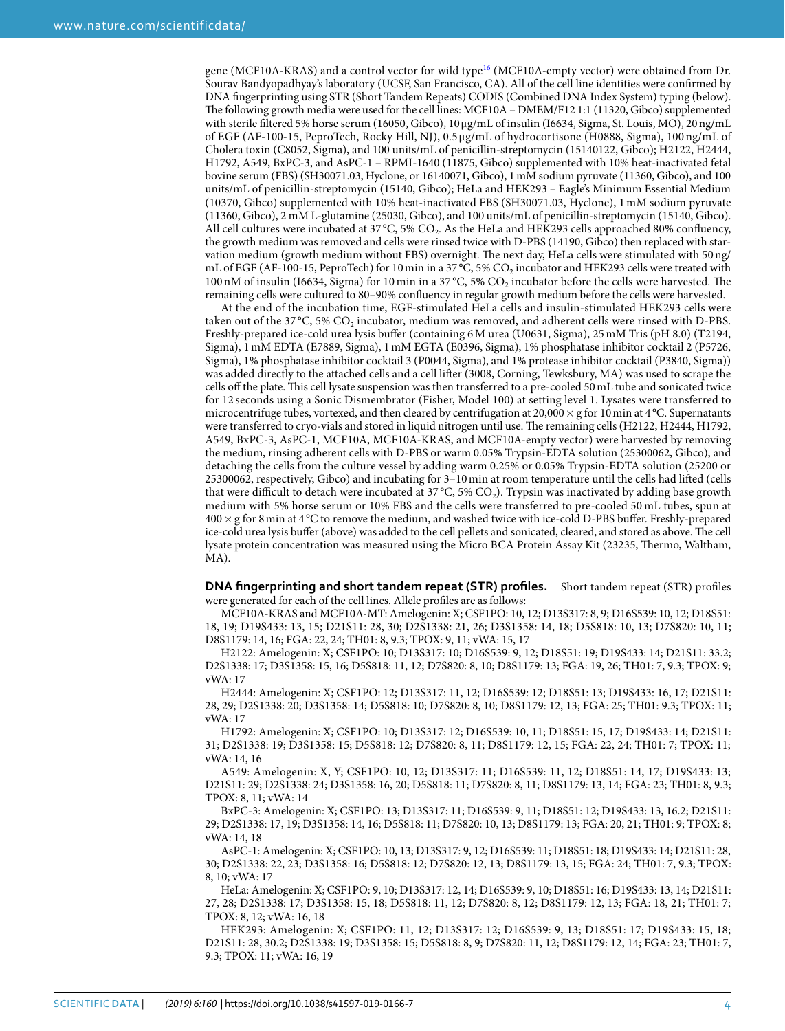gene (MCF10A-KRAS) and a control vector for wild type<sup>16</sup> (MCF10A-empty vector) were obtained from Dr. Sourav Bandyopadhyay's laboratory (UCSF, San Francisco, CA). All of the cell line identities were confrmed by DNA fngerprinting using STR (Short Tandem Repeats) CODIS (Combined DNA Index System) typing (below). The following growth media were used for the cell lines: MCF10A – DMEM/F12 1:1 (11320, Gibco) supplemented with sterile fltered 5% horse serum (16050, Gibco), 10μg/mL of insulin (I6634, Sigma, St. Louis, MO), 20ng/mL of EGF (AF-100-15, PeproTech, Rocky Hill, NJ), 0.5 μg/mL of hydrocortisone (H0888, Sigma), 100 ng/mL of Cholera toxin (C8052, Sigma), and 100 units/mL of penicillin-streptomycin (15140122, Gibco); H2122, H2444, H1792, A549, BxPC-3, and AsPC-1 – RPMI-1640 (11875, Gibco) supplemented with 10% heat-inactivated fetal bovine serum (FBS) (SH30071.03, Hyclone, or 16140071, Gibco), 1mM sodium pyruvate (11360, Gibco), and 100 units/mL of penicillin-streptomycin (15140, Gibco); HeLa and HEK293 – Eagle's Minimum Essential Medium (10370, Gibco) supplemented with 10% heat-inactivated FBS (SH30071.03, Hyclone), 1mM sodium pyruvate (11360, Gibco), 2 mM L-glutamine (25030, Gibco), and 100 units/mL of penicillin-streptomycin (15140, Gibco). All cell cultures were incubated at 37 °C, 5% CO<sub>2</sub>. As the HeLa and HEK293 cells approached 80% confluency, the growth medium was removed and cells were rinsed twice with D-PBS (14190, Gibco) then replaced with starvation medium (growth medium without FBS) overnight. The next day, HeLa cells were stimulated with 50 ng/ mL of EGF (AF-100-15, PeproTech) for 10 min in a 37 °C, 5% CO<sub>2</sub> incubator and HEK293 cells were treated with 100 nM of insulin (I6634, Sigma) for 10 min in a 37 °C, 5%  $CO_2$  incubator before the cells were harvested. The remaining cells were cultured to 80–90% confuency in regular growth medium before the cells were harvested.

At the end of the incubation time, EGF-stimulated HeLa cells and insulin-stimulated HEK293 cells were taken out of the 37 °C, 5%  $CO_2$  incubator, medium was removed, and adherent cells were rinsed with D-PBS. Freshly-prepared ice-cold urea lysis bufer (containing 6M urea (U0631, Sigma), 25 mM Tris (pH 8.0) (T2194, Sigma), 1mM EDTA (E7889, Sigma), 1mM EGTA (E0396, Sigma), 1% phosphatase inhibitor cocktail 2 (P5726, Sigma), 1% phosphatase inhibitor cocktail 3 (P0044, Sigma), and 1% protease inhibitor cocktail (P3840, Sigma)) was added directly to the attached cells and a cell lifer (3008, Corning, Tewksbury, MA) was used to scrape the cells of the plate. Tis cell lysate suspension was then transferred to a pre-cooled 50mL tube and sonicated twice for 12 seconds using a Sonic Dismembrator (Fisher, Model 100) at setting level 1. Lysates were transferred to microcentrifuge tubes, vortexed, and then cleared by centrifugation at  $20,000 \times g$  for 10 min at 4 °C. Supernatants were transferred to cryo-vials and stored in liquid nitrogen until use. The remaining cells (H2122, H2444, H1792, A549, BxPC-3, AsPC-1, MCF10A, MCF10A-KRAS, and MCF10A-empty vector) were harvested by removing the medium, rinsing adherent cells with D-PBS or warm 0.05% Trypsin-EDTA solution (25300062, Gibco), and detaching the cells from the culture vessel by adding warm 0.25% or 0.05% Trypsin-EDTA solution (25200 or 25300062, respectively, Gibco) and incubating for 3–10min at room temperature until the cells had lifed (cells that were difficult to detach were incubated at 37 °C, 5% CO<sub>2</sub>). Trypsin was inactivated by adding base growth medium with 5% horse serum or 10% FBS and the cells were transferred to pre-cooled 50 mL tubes, spun at  $400 \times$ g for 8 min at 4 °C to remove the medium, and washed twice with ice-cold D-PBS buffer. Freshly-prepared ice-cold urea lysis buffer (above) was added to the cell pellets and sonicated, cleared, and stored as above. The cell lysate protein concentration was measured using the Micro BCA Protein Assay Kit (23235, Thermo, Waltham, MA).

**DNA fngerprinting and short tandem repeat (STR) profles.** Short tandem repeat (STR) profles were generated for each of the cell lines. Allele profles are as follows:

MCF10A-KRAS and MCF10A-MT: Amelogenin: X; CSF1PO: 10, 12; D13S317: 8, 9; D16S539: 10, 12; D18S51: 18, 19; D19S433: 13, 15; D21S11: 28, 30; D2S1338: 21, 26; D3S1358: 14, 18; D5S818: 10, 13; D7S820: 10, 11; D8S1179: 14, 16; FGA: 22, 24; TH01: 8, 9.3; TPOX: 9, 11; vWA: 15, 17

H2122: Amelogenin: X; CSF1PO: 10; D13S317: 10; D16S539: 9, 12; D18S51: 19; D19S433: 14; D21S11: 33.2; D2S1338: 17; D3S1358: 15, 16; D5S818: 11, 12; D7S820: 8, 10; D8S1179: 13; FGA: 19, 26; TH01: 7, 9.3; TPOX: 9; vWA: 17

H2444: Amelogenin: X; CSF1PO: 12; D13S317: 11, 12; D16S539: 12; D18S51: 13; D19S433: 16, 17; D21S11: 28, 29; D2S1338: 20; D3S1358: 14; D5S818: 10; D7S820: 8, 10; D8S1179: 12, 13; FGA: 25; TH01: 9.3; TPOX: 11; vWA: 17

H1792: Amelogenin: X; CSF1PO: 10; D13S317: 12; D16S539: 10, 11; D18S51: 15, 17; D19S433: 14; D21S11: 31; D2S1338: 19; D3S1358: 15; D5S818: 12; D7S820: 8, 11; D8S1179: 12, 15; FGA: 22, 24; TH01: 7; TPOX: 11; vWA: 14, 16

A549: Amelogenin: X, Y; CSF1PO: 10, 12; D13S317: 11; D16S539: 11, 12; D18S51: 14, 17; D19S433: 13; D21S11: 29; D2S1338: 24; D3S1358: 16, 20; D5S818: 11; D7S820: 8, 11; D8S1179: 13, 14; FGA: 23; TH01: 8, 9.3; TPOX: 8, 11; vWA: 14

BxPC-3: Amelogenin: X; CSF1PO: 13; D13S317: 11; D16S539: 9, 11; D18S51: 12; D19S433: 13, 16.2; D21S11: 29; D2S1338: 17, 19; D3S1358: 14, 16; D5S818: 11; D7S820: 10, 13; D8S1179: 13; FGA: 20, 21; TH01: 9; TPOX: 8; vWA: 14, 18

AsPC-1: Amelogenin: X; CSF1PO: 10, 13; D13S317: 9, 12; D16S539: 11; D18S51: 18; D19S433: 14; D21S11: 28, 30; D2S1338: 22, 23; D3S1358: 16; D5S818: 12; D7S820: 12, 13; D8S1179: 13, 15; FGA: 24; TH01: 7, 9.3; TPOX: 8, 10; vWA: 17

HeLa: Amelogenin: X; CSF1PO: 9, 10; D13S317: 12, 14; D16S539: 9, 10; D18S51: 16; D19S433: 13, 14; D21S11: 27, 28; D2S1338: 17; D3S1358: 15, 18; D5S818: 11, 12; D7S820: 8, 12; D8S1179: 12, 13; FGA: 18, 21; TH01: 7; TPOX: 8, 12; vWA: 16, 18

HEK293: Amelogenin: X; CSF1PO: 11, 12; D13S317: 12; D16S539: 9, 13; D18S51: 17; D19S433: 15, 18; D21S11: 28, 30.2; D2S1338: 19; D3S1358: 15; D5S818: 8, 9; D7S820: 11, 12; D8S1179: 12, 14; FGA: 23; TH01: 7, 9.3; TPOX: 11; vWA: 16, 19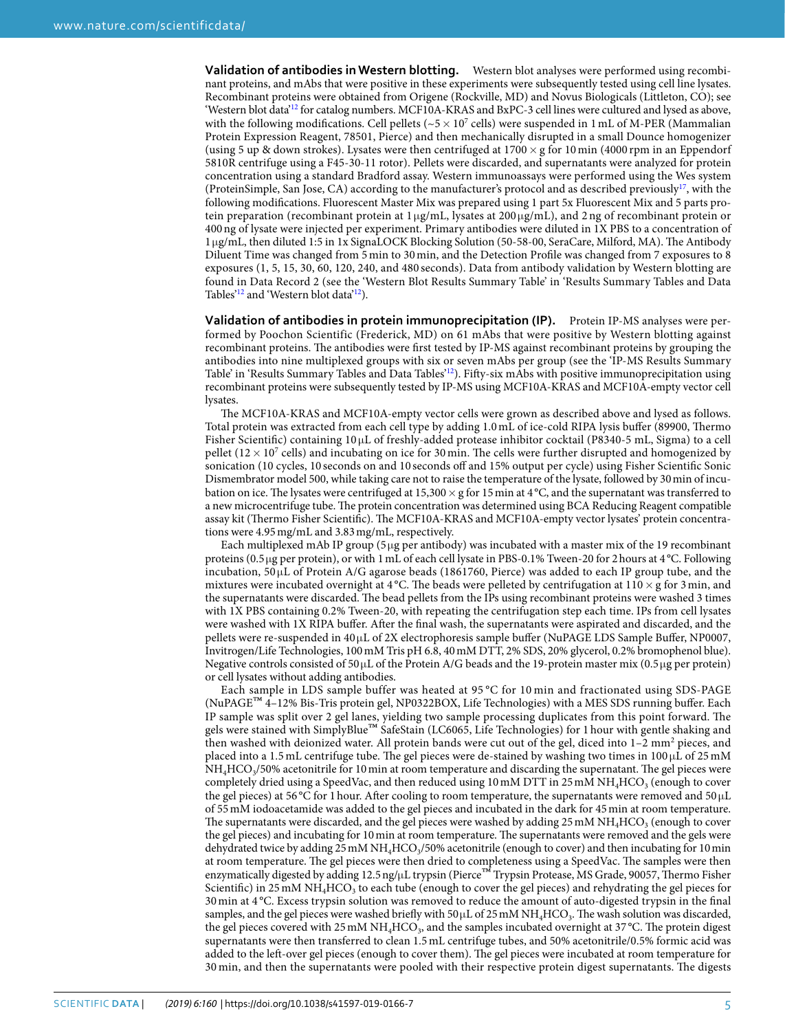**Validation of antibodies in Western blotting.** Western blot analyses were performed using recombinant proteins, and mAbs that were positive in these experiments were subsequently tested using cell line lysates. Recombinant proteins were obtained from Origene (Rockville, MD) and Novus Biologicals (Littleton, CO); see 'Western blot data'[12](#page-9-11) for catalog numbers. MCF10A-KRAS and BxPC-3 cell lines were cultured and lysed as above, with the following modifications. Cell pellets ( $\sim 5 \times 10^7$  cells) were suspended in 1 mL of M-PER (Mammalian Protein Expression Reagent, 78501, Pierce) and then mechanically disrupted in a small Dounce homogenizer (using 5 up & down strokes). Lysates were then centrifuged at  $1700 \times g$  for 10 min (4000 rpm in an Eppendorf 5810R centrifuge using a F45-30-11 rotor). Pellets were discarded, and supernatants were analyzed for protein concentration using a standard Bradford assay. Western immunoassays were performed using the Wes system (ProteinSimple, San Jose, CA) according to the manufacturer's protocol and as described previously<sup>17</sup>, with the following modifcations. Fluorescent Master Mix was prepared using 1 part 5x Fluorescent Mix and 5 parts protein preparation (recombinant protein at  $1 \mu g/mL$ , lysates at 200 μg/mL), and 2 ng of recombinant protein or 400ng of lysate were injected per experiment. Primary antibodies were diluted in 1X PBS to a concentration of 1µg/mL, then diluted 1:5 in 1x SignaLOCK Blocking Solution (50-58-00, SeraCare, Milford, MA). The Antibody Diluent Time was changed from 5 min to 30min, and the Detection Profle was changed from 7 exposures to 8 exposures (1, 5, 15, 30, 60, 120, 240, and 480 seconds). Data from antibody validation by Western blotting are found in Data Record 2 (see the 'Western Blot Results Summary Table' in 'Results Summary Tables and Data Tables<sup>'[12](#page-9-11)</sup> and 'Western blot data<sup>'12</sup>).

**Validation of antibodies in protein immunoprecipitation (IP).** Protein IP-MS analyses were performed by Poochon Scientific (Frederick, MD) on 61 mAbs that were positive by Western blotting against recombinant proteins. The antibodies were first tested by IP-MS against recombinant proteins by grouping the antibodies into nine multiplexed groups with six or seven mAbs per group (see the 'IP-MS Results Summary Table' in 'Results Summary Tables and Data Tables'[12\)](#page-9-11). Fify-six mAbs with positive immunoprecipitation using recombinant proteins were subsequently tested by IP-MS using MCF10A-KRAS and MCF10A-empty vector cell lysates.

The MCF10A-KRAS and MCF10A-empty vector cells were grown as described above and lysed as follows. Total protein was extracted from each cell type by adding 1.0 mL of ice-cold RIPA lysis buffer (89900, Thermo Fisher Scientifc) containing 10 μL of freshly-added protease inhibitor cocktail (P8340-5 mL, Sigma) to a cell pellet ( $12 \times 10^7$  cells) and incubating on ice for 30 min. The cells were further disrupted and homogenized by sonication (10 cycles, 10 seconds on and 10 seconds of and 15% output per cycle) using Fisher Scientifc Sonic Dismembrator model 500, while taking care not to raise the temperature of the lysate, followed by 30min of incubation on ice. The lysates were centrifuged at 15,300  $\times$  g for 15 min at 4 °C, and the supernatant was transferred to a new microcentrifuge tube. The protein concentration was determined using BCA Reducing Reagent compatible assay kit (Thermo Fisher Scientific). The MCF10A-KRAS and MCF10A-empty vector lysates' protein concentrations were 4.95mg/mL and 3.83mg/mL, respectively.

Each multiplexed mAb IP group (5μg per antibody) was incubated with a master mix of the 19 recombinant proteins (0.5μg per protein), or with 1mL of each cell lysate in PBS-0.1% Tween-20 for 2hours at 4 °C. Following incubation, 50 μL of Protein A/G agarose beads (1861760, Pierce) was added to each IP group tube, and the mixtures were incubated overnight at 4 °C. The beads were pelleted by centrifugation at  $110 \times g$  for 3 min, and the supernatants were discarded. The bead pellets from the IPs using recombinant proteins were washed 3 times with 1X PBS containing 0.2% Tween-20, with repeating the centrifugation step each time. IPs from cell lysates were washed with 1X RIPA bufer. Afer the fnal wash, the supernatants were aspirated and discarded, and the pellets were re-suspended in 40 μL of 2X electrophoresis sample bufer (NuPAGE LDS Sample Bufer, NP0007, Invitrogen/Life Technologies, 100mM Tris pH 6.8, 40mM DTT, 2% SDS, 20% glycerol, 0.2% bromophenol blue). Negative controls consisted of 50μL of the Protein A/G beads and the 19-protein master mix (0.5μg per protein) or cell lysates without adding antibodies.

Each sample in LDS sample buffer was heated at 95 °C for 10 min and fractionated using SDS-PAGE (NuPAGE™ 4–12% Bis-Tris protein gel, NP0322BOX, Life Technologies) with a MES SDS running bufer. Each IP sample was split over 2 gel lanes, yielding two sample processing duplicates from this point forward. The gels were stained with SimplyBlue™ SafeStain (LC6065, Life Technologies) for 1 hour with gentle shaking and then washed with deionized water. All protein bands were cut out of the gel, diced into 1-2 mm<sup>2</sup> pieces, and placed into a 1.5 mL centrifuge tube. The gel pieces were de-stained by washing two times in  $100 \mu$ L of 25 mM NH<sub>4</sub>HCO<sub>3</sub>/50% acetonitrile for 10 min at room temperature and discarding the supernatant. The gel pieces were completely dried using a SpeedVac, and then reduced using  $10 \text{ mM DTT}$  in  $25 \text{ mM NH}_4\text{HCO}_3$  (enough to cover the gel pieces) at 56 °C for 1 hour. After cooling to room temperature, the supernatants were removed and 50  $\mu$ L of 55mM iodoacetamide was added to the gel pieces and incubated in the dark for 45min at room temperature. The supernatants were discarded, and the gel pieces were washed by adding  $25 \text{ mM NH}_4$ HCO<sub>3</sub> (enough to cover the gel pieces) and incubating for 10 min at room temperature. The supernatants were removed and the gels were dehydrated twice by adding 25 mM NH<sub>4</sub>HCO<sub>3</sub>/50% acetonitrile (enough to cover) and then incubating for 10 min at room temperature. The gel pieces were then dried to completeness using a SpeedVac. The samples were then enzymatically digested by adding 12.5 ng/μL trypsin (Pierce<sup>™</sup> Trypsin Protease, MS Grade, 90057, Thermo Fisher Scientific) in 25 mM  $NH_4HCO_3$  to each tube (enough to cover the gel pieces) and rehydrating the gel pieces for 30 min at 4 °C. Excess trypsin solution was removed to reduce the amount of auto-digested trypsin in the fnal samples, and the gel pieces were washed briefly with  $50 \mu$ L of  $25 \text{ mM NH}_4$ HCO<sub>3</sub>. The wash solution was discarded, the gel pieces covered with 25 mM  $NH_4HCO_3$ , and the samples incubated overnight at 37 °C. The protein digest supernatants were then transferred to clean 1.5mL centrifuge tubes, and 50% acetonitrile/0.5% formic acid was added to the left-over gel pieces (enough to cover them). The gel pieces were incubated at room temperature for 30 min, and then the supernatants were pooled with their respective protein digest supernatants. The digests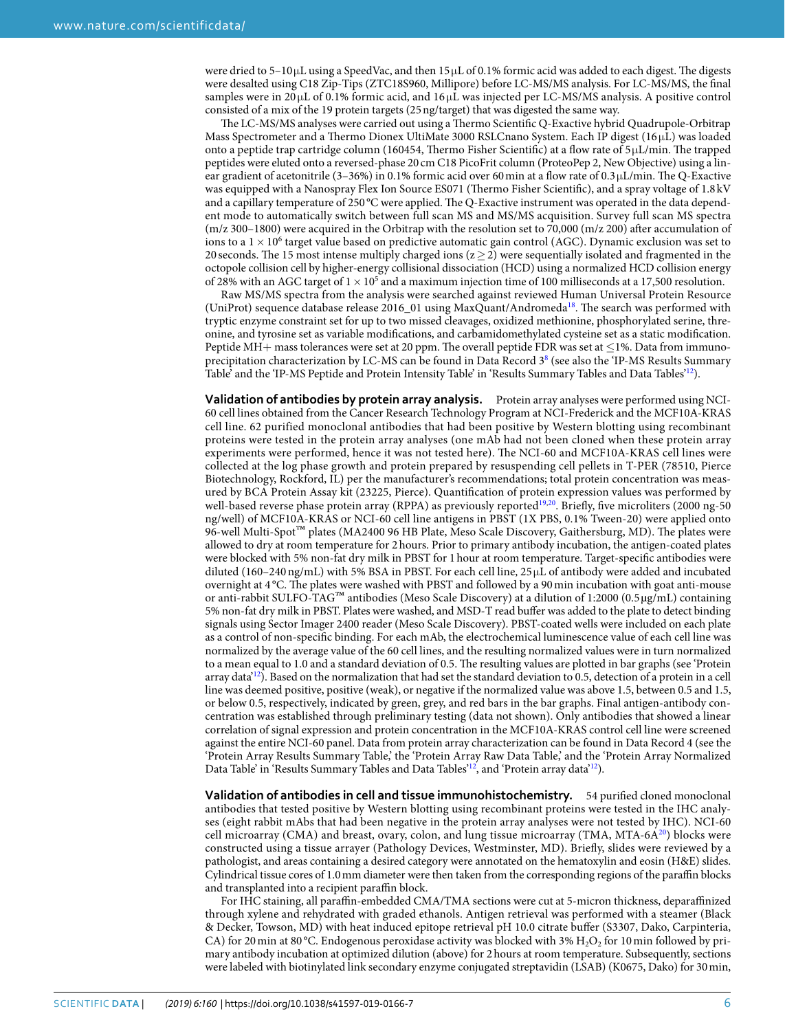were dried to 5–10 $\mu$ L using a SpeedVac, and then 15 $\mu$ L of 0.1% formic acid was added to each digest. The digests were desalted using C18 Zip-Tips (ZTC18S960, Millipore) before LC-MS/MS analysis. For LC-MS/MS, the fnal samples were in 20 μL of 0.1% formic acid, and 16 μL was injected per LC-MS/MS analysis. A positive control consisted of a mix of the 19 protein targets (25ng/target) that was digested the same way.

The LC-MS/MS analyses were carried out using a Thermo Scientific Q-Exactive hybrid Quadrupole-Orbitrap Mass Spectrometer and a Thermo Dionex UltiMate 3000 RSLCnano System. Each IP digest (16μL) was loaded onto a peptide trap cartridge column (160454, Thermo Fisher Scientific) at a flow rate of 5μL/min. The trapped peptides were eluted onto a reversed-phase 20 cm C18 PicoFrit column (ProteoPep 2, New Objective) using a linear gradient of acetonitrile (3-36%) in 0.1% formic acid over 60 min at a flow rate of 0.3μL/min. The Q-Exactive was equipped with a Nanospray Flex Ion Source ES071 (Thermo Fisher Scientific), and a spray voltage of 1.8kV and a capillary temperature of 250 °C were applied. The Q-Exactive instrument was operated in the data dependent mode to automatically switch between full scan MS and MS/MS acquisition. Survey full scan MS spectra (m/z 300–1800) were acquired in the Orbitrap with the resolution set to 70,000 (m/z 200) afer accumulation of ions to a  $1 \times 10^6$  target value based on predictive automatic gain control (AGC). Dynamic exclusion was set to 20 seconds. The 15 most intense multiply charged ions ( $z \geq 2$ ) were sequentially isolated and fragmented in the octopole collision cell by higher-energy collisional dissociation (HCD) using a normalized HCD collision energy of 28% with an AGC target of  $1\times10^5$  and a maximum injection time of 100 milliseconds at a 17,500 resolution.

Raw MS/MS spectra from the analysis were searched against reviewed Human Universal Protein Resource (UniProt) sequence database release 2016\_01 using MaxQuant/Andromeda<sup>[18](#page-9-17)</sup>. The search was performed with tryptic enzyme constraint set for up to two missed cleavages, oxidized methionine, phosphorylated serine, threonine, and tyrosine set as variable modifcations, and carbamidomethylated cysteine set as a static modifcation. Peptide MH+ mass tolerances were set at 20 ppm. The overall peptide FDR was set at ≤1%. Data from immunoprecipitation characterization by LC-MS can be found in Data Record 3<sup>8</sup> (see also the 'IP-MS Results Summary Table' and the 'IP-MS Peptide and Protein Intensity Table' in 'Results Summary Tables and Data Tables'[12](#page-9-11)).

**Validation of antibodies by protein array analysis.** Protein array analyses were performed using NCI-60 cell lines obtained from the Cancer Research Technology Program at NCI-Frederick and the MCF10A-KRAS cell line. 62 purified monoclonal antibodies that had been positive by Western blotting using recombinant proteins were tested in the protein array analyses (one mAb had not been cloned when these protein array experiments were performed, hence it was not tested here). The NCI-60 and MCF10A-KRAS cell lines were collected at the log phase growth and protein prepared by resuspending cell pellets in T-PER (78510, Pierce Biotechnology, Rockford, IL) per the manufacturer's recommendations; total protein concentration was measured by BCA Protein Assay kit (23225, Pierce). Quantifcation of protein expression values was performed by well-based reverse phase protein array (RPPA) as previously reported<sup>[19,](#page-9-18)20</sup>. Briefly, five microliters (2000 ng-50 ng/well) of MCF10A-KRAS or NCI-60 cell line antigens in PBST (1X PBS, 0.1% Tween-20) were applied onto 96-well Multi-Spot<sup>™</sup> plates (MA2400 96 HB Plate, Meso Scale Discovery, Gaithersburg, MD). The plates were allowed to dry at room temperature for 2hours. Prior to primary antibody incubation, the antigen-coated plates were blocked with 5% non-fat dry milk in PBST for 1hour at room temperature. Target-specifc antibodies were diluted (160–240ng/mL) with 5% BSA in PBST. For each cell line, 25 μL of antibody were added and incubated overnight at 4 °C. The plates were washed with PBST and followed by a 90 min incubation with goat anti-mouse<br>or anti-rabbit SULFO-TAG™ antibodies (Meso Scale Discovery) at a dilution of 1:2000 (0.5µg/mL) containing<br>5% non 5% non-fat dry milk in PBST. Plates were washed, and MSD-T read bufer was added to the plate to detect binding signals using Sector Imager 2400 reader (Meso Scale Discovery). PBST-coated wells were included on each plate as a control of non-specifc binding. For each mAb, the electrochemical luminescence value of each cell line was normalized by the average value of the 60 cell lines, and the resulting normalized values were in turn normalized to a mean equal to 1.0 and a standard deviation of 0.5. The resulting values are plotted in bar graphs (see 'Protein array data $^{12}$ ). Based on the normalization that had set the standard deviation to 0.5, detection of a protein in a cell line was deemed positive, positive (weak), or negative if the normalized value was above 1.5, between 0.5 and 1.5, or below 0.5, respectively, indicated by green, grey, and red bars in the bar graphs. Final antigen-antibody concentration was established through preliminary testing (data not shown). Only antibodies that showed a linear correlation of signal expression and protein concentration in the MCF10A-KRAS control cell line were screened against the entire NCI-60 panel. Data from protein array characterization can be found in Data Record 4 (see the 'Protein Array Results Summary Table,' the 'Protein Array Raw Data Table,' and the 'Protein Array Normalized Data Table' in 'Results Summary Tables and Data Tables'<sup>[12](#page-9-11)</sup>, and 'Protein array data'<sup>12</sup>).

**Validation of antibodies in cell and tissue immunohistochemistry.** 54 purifed cloned monoclonal antibodies that tested positive by Western blotting using recombinant proteins were tested in the IHC analyses (eight rabbit mAbs that had been negative in the protein array analyses were not tested by IHC). NCI-60 cell microarray (CMA) and breast, ovary, colon, and lung tissue microarray (TMA, MTA-6A $^{20}$ ) blocks were constructed using a tissue arrayer (Pathology Devices, Westminster, MD). Briefy, slides were reviewed by a pathologist, and areas containing a desired category were annotated on the hematoxylin and eosin (H&E) slides. Cylindrical tissue cores of 1.0mm diameter were then taken from the corresponding regions of the parafn blocks and transplanted into a recipient paraffin block.

For IHC staining, all parafn-embedded CMA/TMA sections were cut at 5-micron thickness, deparafnized through xylene and rehydrated with graded ethanols. Antigen retrieval was performed with a steamer (Black & Decker, Towson, MD) with heat induced epitope retrieval pH 10.0 citrate bufer (S3307, Dako, Carpinteria, CA) for 20 min at 80 °C. Endogenous peroxidase activity was blocked with 3%  $H<sub>2</sub>O<sub>2</sub>$  for 10 min followed by primary antibody incubation at optimized dilution (above) for 2hours at room temperature. Subsequently, sections were labeled with biotinylated link secondary enzyme conjugated streptavidin (LSAB) (K0675, Dako) for 30min,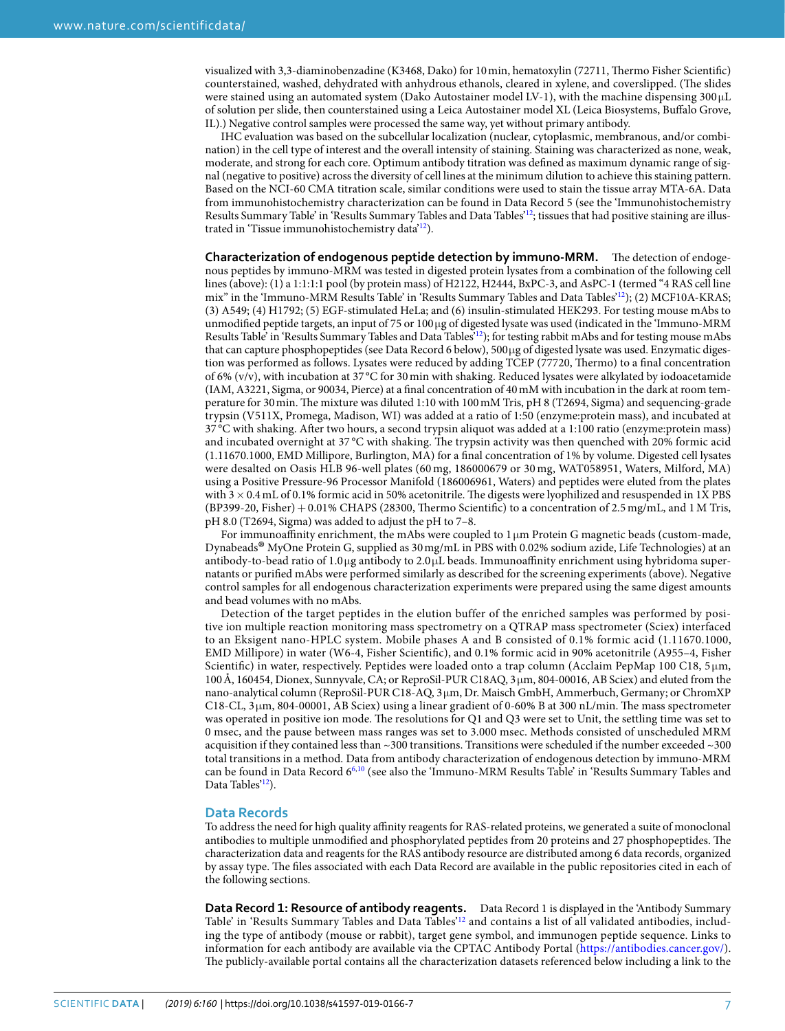visualized with 3,3-diaminobenzadine (K3468, Dako) for 10min, hematoxylin (72711, Termo Fisher Scientifc) counterstained, washed, dehydrated with anhydrous ethanols, cleared in xylene, and coverslipped. (The slides were stained using an automated system (Dako Autostainer model LV-1), with the machine dispensing 300 μL of solution per slide, then counterstained using a Leica Autostainer model XL (Leica Biosystems, Bufalo Grove, IL).) Negative control samples were processed the same way, yet without primary antibody.

IHC evaluation was based on the subcellular localization (nuclear, cytoplasmic, membranous, and/or combination) in the cell type of interest and the overall intensity of staining. Staining was characterized as none, weak, moderate, and strong for each core. Optimum antibody titration was defned as maximum dynamic range of signal (negative to positive) across the diversity of cell lines at the minimum dilution to achieve this staining pattern. Based on the NCI-60 CMA titration scale, similar conditions were used to stain the tissue array MTA-6A. Data from immunohistochemistry characterization can be found in Data Record 5 (see the 'Immunohistochemistry Results Summary Table' in 'Results Summary Tables and Data Tables'[12](#page-9-11); tissues that had positive staining are illustrated in 'Tissue immunohistochemistry data['12\)](#page-9-11).

**Characterization of endogenous peptide detection by immuno-MRM.** The detection of endogenous peptides by immuno-MRM was tested in digested protein lysates from a combination of the following cell lines (above): (1) a 1:1:1:1 pool (by protein mass) of H2122, H2444, BxPC-3, and AsPC-1 (termed "4 RAS cell line mix" in the 'Immuno-MRM Results Table' in 'Results Summary Tables and Data Tables'[12](#page-9-11)); (2) MCF10A-KRAS; (3) A549; (4) H1792; (5) EGF-stimulated HeLa; and (6) insulin-stimulated HEK293. For testing mouse mAbs to unmodifed peptide targets, an input of 75 or 100μg of digested lysate was used (indicated in the 'Immuno-MRM Results Table' in 'Results Summary Tables and Data Tables'[12](#page-9-11)); for testing rabbit mAbs and for testing mouse mAbs that can capture phosphopeptides (see Data Record 6 below), 500μg of digested lysate was used. Enzymatic digestion was performed as follows. Lysates were reduced by adding TCEP (77720, Thermo) to a final concentration of 6% (v/v), with incubation at 37 °C for 30min with shaking. Reduced lysates were alkylated by iodoacetamide (IAM, A3221, Sigma, or 90034, Pierce) at a fnal concentration of 40mM with incubation in the dark at room temperature for 30 min. The mixture was diluted 1:10 with 100 mM Tris, pH 8 (T2694, Sigma) and sequencing-grade trypsin (V511X, Promega, Madison, WI) was added at a ratio of 1:50 (enzyme:protein mass), and incubated at 37 °C with shaking. Afer two hours, a second trypsin aliquot was added at a 1:100 ratio (enzyme:protein mass) and incubated overnight at  $37^{\circ}$ C with shaking. The trypsin activity was then quenched with 20% formic acid (1.11670.1000, EMD Millipore, Burlington, MA) for a fnal concentration of 1% by volume. Digested cell lysates were desalted on Oasis HLB 96-well plates (60 mg, 186000679 or 30 mg, WAT058951, Waters, Milford, MA) using a Positive Pressure-96 Processor Manifold (186006961, Waters) and peptides were eluted from the plates with  $3 \times 0.4$  mL of 0.1% formic acid in 50% acetonitrile. The digests were lyophilized and resuspended in 1X PBS (BP399-20, Fisher) + 0.01% CHAPS (28300, Thermo Scientific) to a concentration of 2.5 mg/mL, and 1 M Tris, pH 8.0 (T2694, Sigma) was added to adjust the pH to 7–8.

For immunoafnity enrichment, the mAbs were coupled to 1 μm Protein G magnetic beads (custom-made, Dynabeads® MyOne Protein G, supplied as 30mg/mL in PBS with 0.02% sodium azide, Life Technologies) at an antibody-to-bead ratio of 1.0 μg antibody to 2.0 μL beads. Immunoafnity enrichment using hybridoma supernatants or purifed mAbs were performed similarly as described for the screening experiments (above). Negative control samples for all endogenous characterization experiments were prepared using the same digest amounts and bead volumes with no mAbs.

Detection of the target peptides in the elution buffer of the enriched samples was performed by positive ion multiple reaction monitoring mass spectrometry on a QTRAP mass spectrometer (Sciex) interfaced to an Eksigent nano-HPLC system. Mobile phases A and B consisted of 0.1% formic acid (1.11670.1000, EMD Millipore) in water (W6-4, Fisher Scientifc), and 0.1% formic acid in 90% acetonitrile (A955–4, Fisher Scientifc) in water, respectively. Peptides were loaded onto a trap column (Acclaim PepMap 100 C18, 5 μm, 100Å, 160454, Dionex, Sunnyvale, CA; or ReproSil-PUR C18AQ, 3μm, 804-00016, AB Sciex) and eluted from the nano-analytical column (ReproSil-PUR C18-AQ, 3μm, Dr. Maisch GmbH, Ammerbuch, Germany; or ChromXP C18-CL,  $3\mu$ m, 804-00001, AB Sciex) using a linear gradient of 0-60% B at 300 nL/min. The mass spectrometer was operated in positive ion mode. The resolutions for Q1 and Q3 were set to Unit, the settling time was set to 0 msec, and the pause between mass ranges was set to 3.000 msec. Methods consisted of unscheduled MRM acquisition if they contained less than ~300 transitions. Transitions were scheduled if the number exceeded ~300 total transitions in a method. Data from antibody characterization of endogenous detection by immuno-MRM can be found in Data Record 6[6,](#page-9-5)[10](#page-9-9) (see also the 'Immuno-MRM Results Table' in 'Results Summary Tables and Data Tables'<sup>[12](#page-9-11)</sup>).

#### **Data Records**

To address the need for high quality affinity reagents for RAS-related proteins, we generated a suite of monoclonal antibodies to multiple unmodified and phosphorylated peptides from 20 proteins and 27 phosphopeptides. The characterization data and reagents for the RAS antibody resource are distributed among 6 data records, organized by assay type. The files associated with each Data Record are available in the public repositories cited in each of the following sections.

**Data Record 1: Resource of antibody reagents.** Data Record 1 is displayed in the 'Antibody Summary Table' in 'Results Summary Tables and Data Tables'[12](#page-9-11) and contains a list of all validated antibodies, including the type of antibody (mouse or rabbit), target gene symbol, and immunogen peptide sequence. Links to information for each antibody are available via the CPTAC Antibody Portal (<https://antibodies.cancer.gov/>). The publicly-available portal contains all the characterization datasets referenced below including a link to the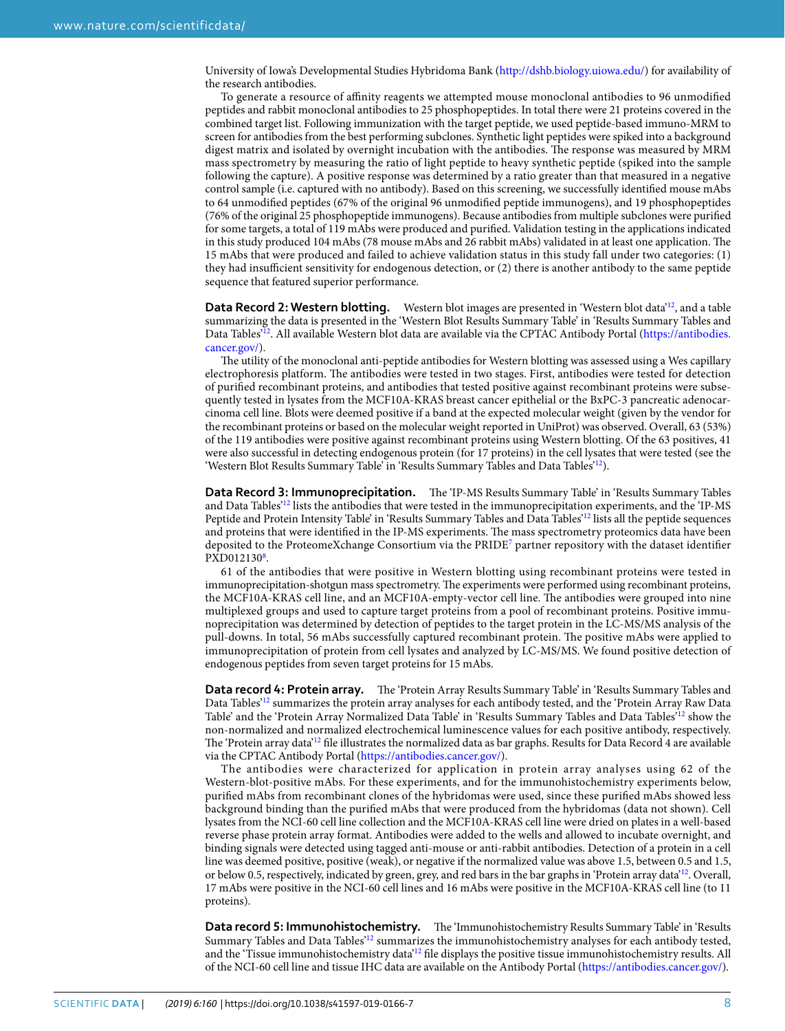University of Iowa's Developmental Studies Hybridoma Bank (<http://dshb.biology.uiowa.edu/>) for availability of the research antibodies.

To generate a resource of afnity reagents we attempted mouse monoclonal antibodies to 96 unmodifed peptides and rabbit monoclonal antibodies to 25 phosphopeptides. In total there were 21 proteins covered in the combined target list. Following immunization with the target peptide, we used peptide-based immuno-MRM to screen for antibodies from the best performing subclones. Synthetic light peptides were spiked into a background digest matrix and isolated by overnight incubation with the antibodies. The response was measured by MRM mass spectrometry by measuring the ratio of light peptide to heavy synthetic peptide (spiked into the sample following the capture). A positive response was determined by a ratio greater than that measured in a negative control sample (i.e. captured with no antibody). Based on this screening, we successfully identifed mouse mAbs to 64 unmodifed peptides (67% of the original 96 unmodifed peptide immunogens), and 19 phosphopeptides (76% of the original 25 phosphopeptide immunogens). Because antibodies from multiple subclones were purifed for some targets, a total of 119 mAbs were produced and purifed. Validation testing in the applications indicated in this study produced 104 mAbs (78 mouse mAbs and 26 rabbit mAbs) validated in at least one application. The 15 mAbs that were produced and failed to achieve validation status in this study fall under two categories: (1) they had insufficient sensitivity for endogenous detection, or (2) there is another antibody to the same peptide sequence that featured superior performance.

**Data Record 2: Western blotting.** Western blot images are presented in 'Western blot data'<sup>12</sup>, and a table summarizing the data is presented in the 'Western Blot Results Summary Table' in 'Results Summary Tables and Data Tables'<sup>[12](#page-9-11)</sup>. All available Western blot data are available via the CPTAC Antibody Portal [\(https://antibodies.](https://antibodies.cancer.gov/) [cancer.gov/](https://antibodies.cancer.gov/)).

The utility of the monoclonal anti-peptide antibodies for Western blotting was assessed using a Wes capillary electrophoresis platform. The antibodies were tested in two stages. First, antibodies were tested for detection of purifed recombinant proteins, and antibodies that tested positive against recombinant proteins were subsequently tested in lysates from the MCF10A-KRAS breast cancer epithelial or the BxPC-3 pancreatic adenocarcinoma cell line. Blots were deemed positive if a band at the expected molecular weight (given by the vendor for the recombinant proteins or based on the molecular weight reported in UniProt) was observed. Overall, 63 (53%) of the 119 antibodies were positive against recombinant proteins using Western blotting. Of the 63 positives, 41 were also successful in detecting endogenous protein (for 17 proteins) in the cell lysates that were tested (see the 'Western Blot Results Summary Table' in 'Results Summary Tables and Data Tables'[12](#page-9-11)).

**Data Record 3: Immunoprecipitation.** The 'IP-MS Results Summary Table' in 'Results Summary Tables and Data Tables'[12](#page-9-11) lists the antibodies that were tested in the immunoprecipitation experiments, and the 'IP-MS Peptide and Protein Intensity Table' in 'Results Summary Tables and Data Tables'[12](#page-9-11) lists all the peptide sequences and proteins that were identified in the IP-MS experiments. The mass spectrometry proteomics data have been deposited to the ProteomeXchange Consortium via the PRIDE[7](#page-9-6) partner repository with the dataset identifer PXD012130<sup>8</sup>.

61 of the antibodies that were positive in Western blotting using recombinant proteins were tested in immunoprecipitation-shotgun mass spectrometry. The experiments were performed using recombinant proteins, the MCF10A-KRAS cell line, and an MCF10A-empty-vector cell line. The antibodies were grouped into nine multiplexed groups and used to capture target proteins from a pool of recombinant proteins. Positive immunoprecipitation was determined by detection of peptides to the target protein in the LC-MS/MS analysis of the pull-downs. In total, 56 mAbs successfully captured recombinant protein. The positive mAbs were applied to immunoprecipitation of protein from cell lysates and analyzed by LC-MS/MS. We found positive detection of endogenous peptides from seven target proteins for 15 mAbs.

**Data record 4: Protein array.** The 'Protein Array Results Summary Table' in 'Results Summary Tables and Data Tables['12](#page-9-11) summarizes the protein array analyses for each antibody tested, and the 'Protein Array Raw Data Table' and the 'Protein Array Normalized Data Table' in 'Results Summary Tables and Data Tables['12](#page-9-11) show the non-normalized and normalized electrochemical luminescence values for each positive antibody, respectively. The 'Protein array data'<sup>12</sup> file illustrates the normalized data as bar graphs. Results for Data Record 4 are available via the CPTAC Antibody Portal (<https://antibodies.cancer.gov/>).

The antibodies were characterized for application in protein array analyses using 62 of the Western-blot-positive mAbs. For these experiments, and for the immunohistochemistry experiments below, purifed mAbs from recombinant clones of the hybridomas were used, since these purifed mAbs showed less background binding than the purifed mAbs that were produced from the hybridomas (data not shown). Cell lysates from the NCI-60 cell line collection and the MCF10A-KRAS cell line were dried on plates in a well-based reverse phase protein array format. Antibodies were added to the wells and allowed to incubate overnight, and binding signals were detected using tagged anti-mouse or anti-rabbit antibodies. Detection of a protein in a cell line was deemed positive, positive (weak), or negative if the normalized value was above 1.5, between 0.5 and 1.5, or below 0.5, respectively, indicated by green, grey, and red bars in the bar graphs in 'Protein array data'[12](#page-9-11). Overall, 17 mAbs were positive in the NCI-60 cell lines and 16 mAbs were positive in the MCF10A-KRAS cell line (to 11 proteins).

**Data record 5: Immunohistochemistry.** The 'Immunohistochemistry Results Summary Table' in 'Results Summary Tables and Data Tables'[12](#page-9-11) summarizes the immunohistochemistry analyses for each antibody tested, and the 'Tissue immunohistochemistry data['12](#page-9-11) fle displays the positive tissue immunohistochemistry results. All of the NCI-60 cell line and tissue IHC data are available on the Antibody Portal ([https://antibodies.cancer.gov/\)](https://antibodies.cancer.gov/).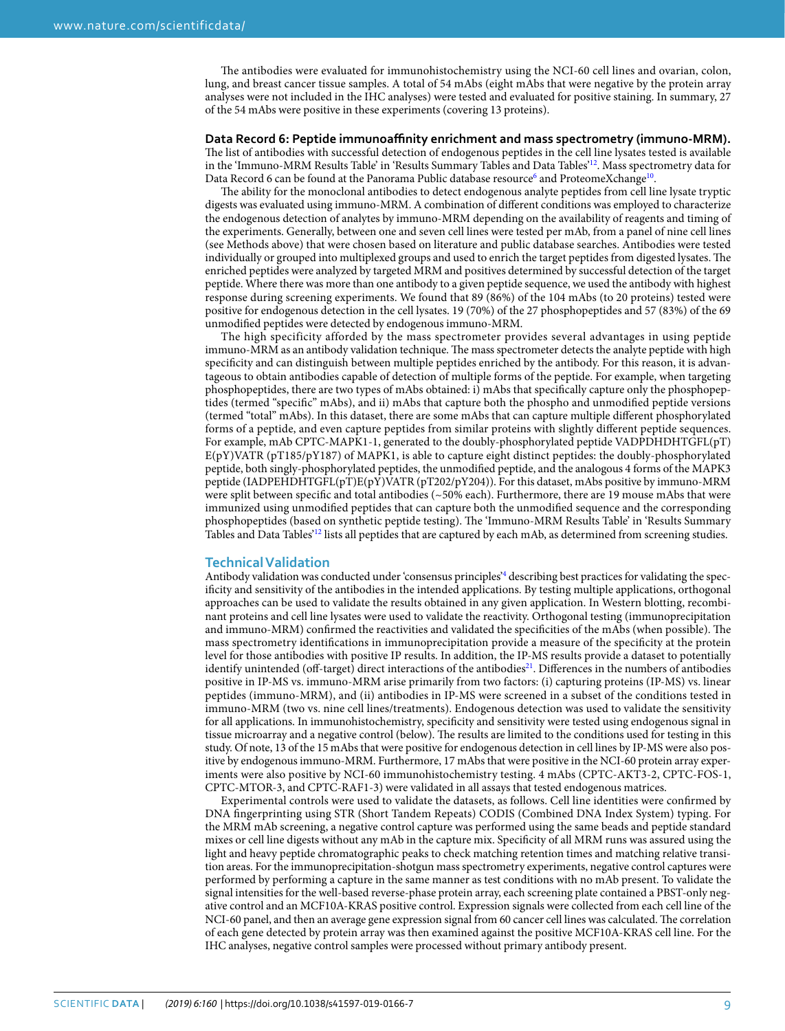The antibodies were evaluated for immunohistochemistry using the NCI-60 cell lines and ovarian, colon, lung, and breast cancer tissue samples. A total of 54 mAbs (eight mAbs that were negative by the protein array analyses were not included in the IHC analyses) were tested and evaluated for positive staining. In summary, 27 of the 54 mAbs were positive in these experiments (covering 13 proteins).

#### **Data Record 6: Peptide immunoafnity enrichment and mass spectrometry (immuno-MRM).**

The list of antibodies with successful detection of endogenous peptides in the cell line lysates tested is available in the 'Immuno-MRM Results Table' in 'Results Summary Tables and Data Tables['12](#page-9-11). Mass spectrometry data for Data Record [6](#page-9-5) can be found at the Panorama Public database resource<sup>6</sup> and ProteomeXchange<sup>10</sup>.

The ability for the monoclonal antibodies to detect endogenous analyte peptides from cell line lysate tryptic digests was evaluated using immuno-MRM. A combination of diferent conditions was employed to characterize the endogenous detection of analytes by immuno-MRM depending on the availability of reagents and timing of the experiments. Generally, between one and seven cell lines were tested per mAb, from a panel of nine cell lines (see Methods above) that were chosen based on literature and public database searches. Antibodies were tested individually or grouped into multiplexed groups and used to enrich the target peptides from digested lysates. The enriched peptides were analyzed by targeted MRM and positives determined by successful detection of the target peptide. Where there was more than one antibody to a given peptide sequence, we used the antibody with highest response during screening experiments. We found that 89 (86%) of the 104 mAbs (to 20 proteins) tested were positive for endogenous detection in the cell lysates. 19 (70%) of the 27 phosphopeptides and 57 (83%) of the 69 unmodifed peptides were detected by endogenous immuno-MRM.

The high specificity afforded by the mass spectrometer provides several advantages in using peptide immuno-MRM as an antibody validation technique. The mass spectrometer detects the analyte peptide with high specifcity and can distinguish between multiple peptides enriched by the antibody. For this reason, it is advantageous to obtain antibodies capable of detection of multiple forms of the peptide. For example, when targeting phosphopeptides, there are two types of mAbs obtained: i) mAbs that specifcally capture only the phosphopeptides (termed "specifc" mAbs), and ii) mAbs that capture both the phospho and unmodifed peptide versions (termed "total" mAbs). In this dataset, there are some mAbs that can capture multiple diferent phosphorylated forms of a peptide, and even capture peptides from similar proteins with slightly diferent peptide sequences. For example, mAb CPTC-MAPK1-1, generated to the doubly-phosphorylated peptide VADPDHDHTGFL(pT) E(pY)VATR (pT185/pY187) of MAPK1, is able to capture eight distinct peptides: the doubly-phosphorylated peptide, both singly-phosphorylated peptides, the unmodifed peptide, and the analogous 4 forms of the MAPK3 peptide (IADPEHDHTGFL(pT)E(pY)VATR (pT202/pY204)). For this dataset, mAbs positive by immuno-MRM were split between specifc and total antibodies (~50% each). Furthermore, there are 19 mouse mAbs that were immunized using unmodifed peptides that can capture both the unmodifed sequence and the corresponding phosphopeptides (based on synthetic peptide testing). The 'Immuno-MRM Results Table' in 'Results Summary Tables and Data Tables'<sup>[12](#page-9-11)</sup> lists all peptides that are captured by each mAb, as determined from screening studies.

#### **Technical Validation**

Antibody validation was conducted under 'consensus principles<sup>4</sup> describing best practices for validating the specifcity and sensitivity of the antibodies in the intended applications. By testing multiple applications, orthogonal approaches can be used to validate the results obtained in any given application. In Western blotting, recombinant proteins and cell line lysates were used to validate the reactivity. Orthogonal testing (immunoprecipitation and immuno-MRM) confirmed the reactivities and validated the specificities of the mAbs (when possible). The mass spectrometry identifcations in immunoprecipitation provide a measure of the specifcity at the protein level for those antibodies with positive IP results. In addition, the IP-MS results provide a dataset to potentially identify unintended (off-target) direct interactions of the antibodies<sup>21</sup>. Differences in the numbers of antibodies positive in IP-MS vs. immuno-MRM arise primarily from two factors: (i) capturing proteins (IP-MS) vs. linear peptides (immuno-MRM), and (ii) antibodies in IP-MS were screened in a subset of the conditions tested in immuno-MRM (two vs. nine cell lines/treatments). Endogenous detection was used to validate the sensitivity for all applications. In immunohistochemistry, specifcity and sensitivity were tested using endogenous signal in tissue microarray and a negative control (below). The results are limited to the conditions used for testing in this study. Of note, 13 of the 15 mAbs that were positive for endogenous detection in cell lines by IP-MS were also positive by endogenous immuno-MRM. Furthermore, 17 mAbs that were positive in the NCI-60 protein array experiments were also positive by NCI-60 immunohistochemistry testing. 4 mAbs (CPTC-AKT3-2, CPTC-FOS-1, CPTC-MTOR-3, and CPTC-RAF1-3) were validated in all assays that tested endogenous matrices.

Experimental controls were used to validate the datasets, as follows. Cell line identities were confrmed by DNA fngerprinting using STR (Short Tandem Repeats) CODIS (Combined DNA Index System) typing. For the MRM mAb screening, a negative control capture was performed using the same beads and peptide standard mixes or cell line digests without any mAb in the capture mix. Specifcity of all MRM runs was assured using the light and heavy peptide chromatographic peaks to check matching retention times and matching relative transition areas. For the immunoprecipitation-shotgun mass spectrometry experiments, negative control captures were performed by performing a capture in the same manner as test conditions with no mAb present. To validate the signal intensities for the well-based reverse-phase protein array, each screening plate contained a PBST-only negative control and an MCF10A-KRAS positive control. Expression signals were collected from each cell line of the NCI-60 panel, and then an average gene expression signal from 60 cancer cell lines was calculated. The correlation of each gene detected by protein array was then examined against the positive MCF10A-KRAS cell line. For the IHC analyses, negative control samples were processed without primary antibody present.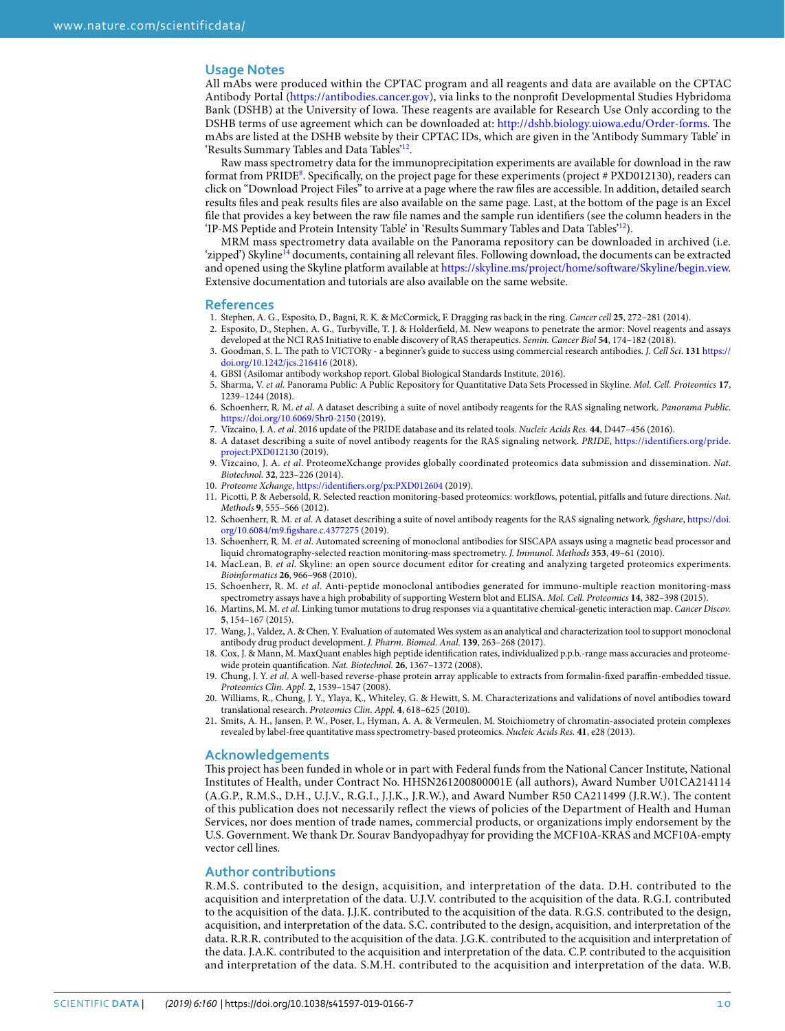#### **Usage Notes**

All mAbs were produced within the CPTAC program and all reagents and data are available on the CPTAC Antibody Portal [\(https://antibodies.cancer.gov\)](https://antibodies.cancer.gov), via links to the nonproft Developmental Studies Hybridoma Bank (DSHB) at the University of Iowa. These reagents are available for Research Use Only according to the DSHB terms of use agreement which can be downloaded at: [http://dshb.biology.uiowa.edu/Order-forms.](http://dshb.biology.uiowa.edu/Order-forms) The mAbs are listed at the DSHB website by their CPTAC IDs, which are given in the 'Antibody Summary Table' in 'Results Summary Tables and Data Tables['12.](#page-9-11)

Raw mass spectrometry data for the immunoprecipitation experiments are available for download in the raw format from PRIDE<sup>[8](#page-9-7)</sup>. Specifically, on the project page for these experiments (project # PXD012130), readers can click on "Download Project Files" to arrive at a page where the raw fles are accessible. In addition, detailed search results fles and peak results fles are also available on the same page. Last, at the bottom of the page is an Excel fle that provides a key between the raw fle names and the sample run identifers (see the column headers in the 'IP-MS Peptide and Protein Intensity Table' in 'Results Summary Tables and Data Tables'[12](#page-9-11)).

MRM mass spectrometry data available on the Panorama repository can be downloaded in archived (i.e. 'zipped') Skyline<sup>14</sup> documents, containing all relevant files. Following download, the documents can be extracted and opened using the Skyline platform available at [https://skyline.ms/project/home/sofware/Skyline/begin.view.](https://skyline.ms/project/home/software/Skyline/begin.view) Extensive documentation and tutorials are also available on the same website.

#### **References**

- <span id="page-9-0"></span>1. Stephen, A. G., Esposito, D., Bagni, R. K. & McCormick, F. Dragging ras back in the ring. *Cancer cell* **25**, 272–281 (2014).
- <span id="page-9-1"></span>2. Esposito, D., Stephen, A. G., Turbyville, T. J. & Holderfeld, M. New weapons to penetrate the armor: Novel reagents and assays developed at the NCI RAS Initiative to enable discovery of RAS therapeutics. *Semin. Cancer Biol* **54**, 174–182 (2018).
- <span id="page-9-2"></span>3. Goodman, S. L. Te path to VICTORy - a beginner's guide to success using commercial research antibodies. *J. Cell Sci*. **131** [https://](https://doi.org/10.1242/jcs.216416) [doi.org/10.1242/jcs.216416](https://doi.org/10.1242/jcs.216416) (2018).
- <span id="page-9-3"></span>4. GBSI (Asilomar antibody workshop report. Global Biological Standards Institute, 2016).
- <span id="page-9-4"></span>5. Sharma, V. *et al*. Panorama Public: A Public Repository for Quantitative Data Sets Processed in Skyline. *Mol. Cell. Proteomics* **17**, 1239–1244 (2018).
- <span id="page-9-5"></span>6. Schoenherr, R. M. *et al*. A dataset describing a suite of novel antibody reagents for the RAS signaling network. *Panorama Public*. <https://doi.org/10.6069/5hr0-2150>(2019).
- <span id="page-9-6"></span>7. Vizcaino, J. A. *et al*. 2016 update of the PRIDE database and its related tools. *Nucleic Acids Res.* **44**, D447–456 (2016).
- <span id="page-9-7"></span>8. A dataset describing a suite of novel antibody reagents for the RAS signaling network. *PRIDE*, [https://identifiers.org/pride.](https://identifiers.org/pride.project:PXD012130) [project:PXD012130](https://identifiers.org/pride.project:PXD012130) (2019).
- <span id="page-9-8"></span>9. Vizcaino, J. A. *et al*. ProteomeXchange provides globally coordinated proteomics data submission and dissemination. *Nat. Biotechnol.* **32**, 223–226 (2014).
- <span id="page-9-9"></span>10. *Proteome Xchange*, [https://identifers.org/px:PXD012604](https://identifiers.org/px:PXD012604) (2019).
- <span id="page-9-10"></span>11. Picotti, P. & Aebersold, R. Selected reaction monitoring-based proteomics: workfows, potential, pitfalls and future directions. *Nat. Methods* **9**, 555–566 (2012).
- <span id="page-9-11"></span>12. Schoenherr, R. M. *et al*. A dataset describing a suite of novel antibody reagents for the RAS signaling network. *fgshare*, [https://doi.](https://doi.org/10.6084/m9.figshare.c.4377275) [org/10.6084/m9.fgshare.c.4377275](https://doi.org/10.6084/m9.figshare.c.4377275) (2019).
- <span id="page-9-12"></span>13. Schoenherr, R. M. *et al*. Automated screening of monoclonal antibodies for SISCAPA assays using a magnetic bead processor and liquid chromatography-selected reaction monitoring-mass spectrometry. *J. Immunol. Methods* **353**, 49–61 (2010).
- <span id="page-9-13"></span>14. MacLean, B. *et al*. Skyline: an open source document editor for creating and analyzing targeted proteomics experiments. *Bioinformatics* **26**, 966–968 (2010).
- <span id="page-9-14"></span>15. Schoenherr, R. M. *et al*. Anti-peptide monoclonal antibodies generated for immuno-multiple reaction monitoring-mass spectrometry assays have a high probability of supporting Western blot and ELISA. *Mol. Cell. Proteomics* **14**, 382–398 (2015).
- <span id="page-9-15"></span>16. Martins, M. M. *et al*. Linking tumor mutations to drug responses via a quantitative chemical-genetic interaction map. *Cancer Discov.* **5**, 154–167 (2015).
- <span id="page-9-16"></span>17. Wang, J., Valdez, A. & Chen, Y. Evaluation of automated Wes system as an analytical and characterization tool to support monoclonal antibody drug product development. *J. Pharm. Biomed. Anal.* **139**, 263–268 (2017).
- <span id="page-9-17"></span>18. Cox, J. & Mann, M. MaxQuant enables high peptide identifcation rates, individualized p.p.b.-range mass accuracies and proteomewide protein quantifcation. *Nat. Biotechnol.* **26**, 1367–1372 (2008).
- <span id="page-9-18"></span>19. Chung, J. Y. *et al*. A well-based reverse-phase protein array applicable to extracts from formalin-fxed parafn-embedded tissue. *Proteomics Clin. Appl.* **2**, 1539–1547 (2008).
- <span id="page-9-19"></span>20. Williams, R., Chung, J. Y., Ylaya, K., Whiteley, G. & Hewitt, S. M. Characterizations and validations of novel antibodies toward translational research. *Proteomics Clin. Appl.* **4**, 618–625 (2010).
- <span id="page-9-20"></span>21. Smits, A. H., Jansen, P. W., Poser, I., Hyman, A. A. & Vermeulen, M. Stoichiometry of chromatin-associated protein complexes revealed by label-free quantitative mass spectrometry-based proteomics. *Nucleic Acids Res.* **41**, e28 (2013).

#### **Acknowledgements**

Tis project has been funded in whole or in part with Federal funds from the National Cancer Institute, National Institutes of Health, under Contract No. HHSN261200800001E (all authors), Award Number U01CA214114 (A.G.P., R.M.S., D.H., U.J.V., R.G.I., J.J.K., J.R.W.), and Award Number R50 CA211499 (J.R.W.). Te content of this publication does not necessarily refect the views of policies of the Department of Health and Human Services, nor does mention of trade names, commercial products, or organizations imply endorsement by the U.S. Government. We thank Dr. Sourav Bandyopadhyay for providing the MCF10A-KRAS and MCF10A-empty vector cell lines.

#### **Author contributions**

R.M.S. contributed to the design, acquisition, and interpretation of the data. D.H. contributed to the acquisition and interpretation of the data. U.J.V. contributed to the acquisition of the data. R.G.I. contributed to the acquisition of the data. J.J.K. contributed to the acquisition of the data. R.G.S. contributed to the design, acquisition, and interpretation of the data. S.C. contributed to the design, acquisition, and interpretation of the data. R.R.R. contributed to the acquisition of the data. J.G.K. contributed to the acquisition and interpretation of the data. J.A.K. contributed to the acquisition and interpretation of the data. C.P. contributed to the acquisition and interpretation of the data. S.M.H. contributed to the acquisition and interpretation of the data. W.B.